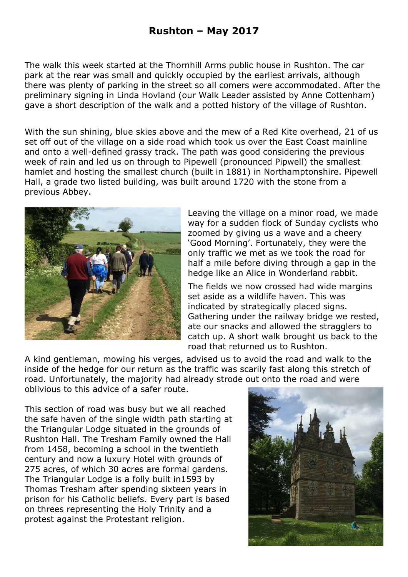The walk this week started at the Thornhill Arms public house in Rushton. The car park at the rear was small and quickly occupied by the earliest arrivals, although there was plenty of parking in the street so all comers were accommodated. After the preliminary signing in Linda Hovland (our Walk Leader assisted by Anne Cottenham) gave a short description of the walk and a potted history of the village of Rushton.

With the sun shining, blue skies above and the mew of a Red Kite overhead, 21 of us set off out of the village on a side road which took us over the East Coast mainline and onto a well-defined grassy track. The path was good considering the previous week of rain and led us on through to Pipewell (pronounced Pipwell) the smallest hamlet and hosting the smallest church (built in 1881) in Northamptonshire. Pipewell Hall, a grade two listed building, was built around 1720 with the stone from a previous Abbey.



Leaving the village on a minor road, we made way for a sudden flock of Sunday cyclists who zoomed by giving us a wave and a cheery 'Good Morning'. Fortunately, they were the only traffic we met as we took the road for half a mile before diving through a gap in the hedge like an Alice in Wonderland rabbit.

The fields we now crossed had wide margins set aside as a wildlife haven. This was indicated by strategically placed signs. Gathering under the railway bridge we rested, ate our snacks and allowed the stragglers to catch up. A short walk brought us back to the road that returned us to Rushton.

A kind gentleman, mowing his verges, advised us to avoid the road and walk to the inside of the hedge for our return as the traffic was scarily fast along this stretch of road. Unfortunately, the majority had already strode out onto the road and were oblivious to this advice of a safer route.

This section of road was busy but we all reached the safe haven of the single width path starting at the Triangular Lodge situated in the grounds of Rushton Hall. The Tresham Family owned the Hall from 1458, becoming a school in the twentieth century and now a luxury Hotel with grounds of 275 acres, of which 30 acres are formal gardens. The Triangular Lodge is a folly built in1593 by Thomas Tresham after spending sixteen years in prison for his Catholic beliefs. Every part is based on threes representing the Holy Trinity and a protest against the Protestant religion.